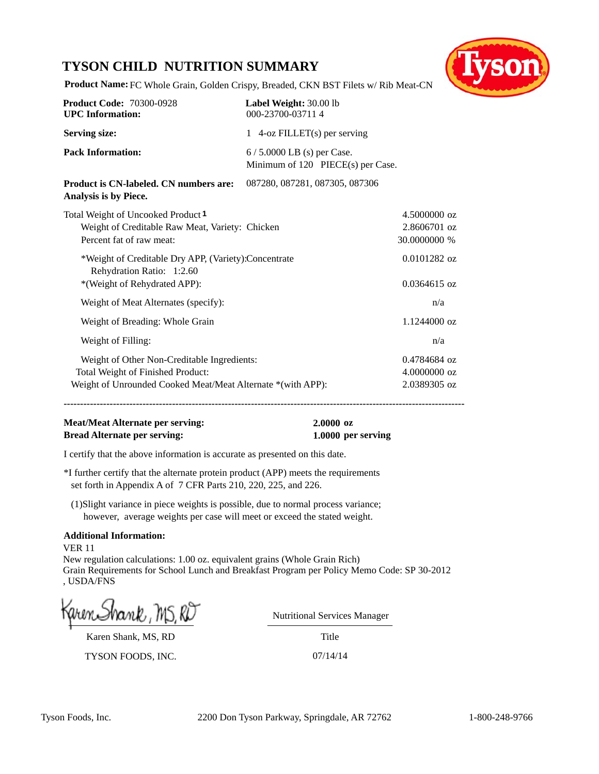## **TYSON CHILD NUTRITION SUMMARY**



**Product Name:** FC Whole Grain, Golden Crispy, Breaded, CKN BST Filets w/ Rib Meat-CN

| <b>Product Code: 70300-0928</b><br><b>UPC</b> Information:                                                                                      | Label Weight: 30.00 lb<br>000-23700-037114                       |                                              |
|-------------------------------------------------------------------------------------------------------------------------------------------------|------------------------------------------------------------------|----------------------------------------------|
| <b>Serving size:</b>                                                                                                                            | 1 $4$ -oz FILLET(s) per serving                                  |                                              |
| <b>Pack Information:</b>                                                                                                                        | $6/5.0000$ LB (s) per Case.<br>Minimum of 120 PIECE(s) per Case. |                                              |
| Product is CN-labeled. CN numbers are:<br>Analysis is by Piece.                                                                                 | 087280, 087281, 087305, 087306                                   |                                              |
| Total Weight of Uncooked Product 1<br>Weight of Creditable Raw Meat, Variety: Chicken<br>Percent fat of raw meat:                               |                                                                  | 4.5000000 oz<br>2.8606701 oz<br>30.0000000 % |
| *Weight of Creditable Dry APP, (Variety):Concentrate<br>Rehydration Ratio: 1:2.60<br>*(Weight of Rehydrated APP):                               |                                                                  | 0.0101282 oz<br>$0.0364615$ oz               |
| Weight of Meat Alternates (specify):                                                                                                            |                                                                  | n/a                                          |
| Weight of Breading: Whole Grain                                                                                                                 |                                                                  | 1.1244000 oz                                 |
| Weight of Filling:                                                                                                                              |                                                                  | n/a                                          |
| Weight of Other Non-Creditable Ingredients:<br>Total Weight of Finished Product:<br>Weight of Unrounded Cooked Meat/Meat Alternate *(with APP): |                                                                  | 0.4784684 oz<br>4.0000000 oz<br>2.0389305 oz |

**--------------------------------------------------------------------------------------------------------------------------**

### **Meat/Meat Alternate per serving: 2.0000 oz Bread Alternate per serving: 1.0000 per serving**

I certify that the above information is accurate as presented on this date.

\*I further certify that the alternate protein product (APP) meets the requirements set forth in Appendix A of 7 CFR Parts 210, 220, 225, and 226.

(1)Slight variance in piece weights is possible, due to normal process variance; however, average weights per case will meet or exceed the stated weight.

#### **Additional Information:**

VER 11 New regulation calculations: 1.00 oz. equivalent grains (Whole Grain Rich) Grain Requirements for School Lunch and Breakfast Program per Policy Memo Code: SP 30-2012 , USDA/FNS

Karen Shank, MS, RD

TYSON FOODS, INC. 07/14/14

Nutritional Services Manager

Title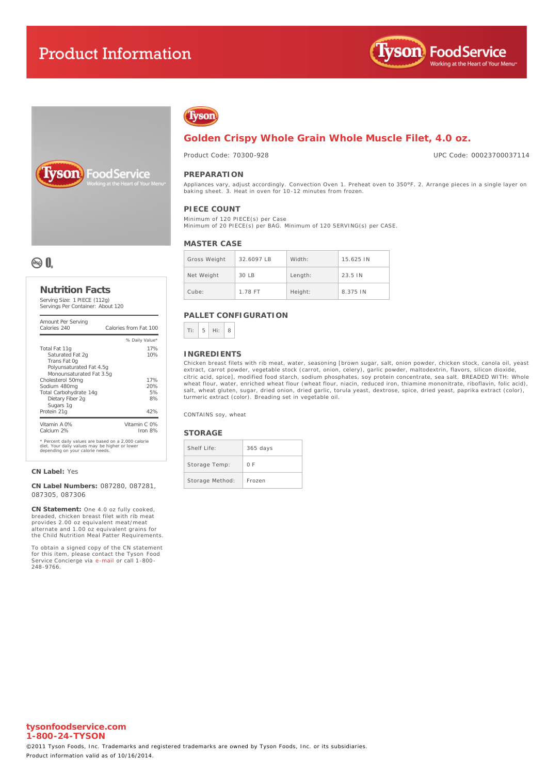# **Product Information**





oodService



### **Golden Crispy Whole Grain Whole Muscle Filet, 4.0 oz.**

Product Code: 70300-928

UPC Code: 00023700037114

#### **PREPARATION**

Appliances vary, adjust accordingly. Convection Oven 1. **Preheat oven to 350°F.** 2. Arrange pieces in a single layer on<br>baking sheet. 3. Heat in oven for 10-12 minutes from frozen.

### **PIECE COUNT**

Minimum of 120 PIECE(s) per Case Minimum of 20 PIECE(s) per BAG. Minimum of 120 SERVING(s) per CASE.

#### **MASTER CASE**

| Gross Weight | 32.6097 IB | Width:  | 15.625 IN |
|--------------|------------|---------|-----------|
| Net Weight   | $30$ IB    | Length: | 23.5 IN   |
| Cube:        | 1.78 FT    | Height: | 8.375 IN  |

#### **PALLET CONFIGURATION**



#### **INGREDIENTS**

Chicken breast filets with rib meat, water, seasoning [brown sugar, salt, onion powder, chicken stock, canola oil, yeast extract, carrot powder, vegetable stock (carrot, onion, celery), garlic powder, maltodextrin, flavors, silicon dioxide,<br>citric acid, spice], modified food starch, sodium phosphates, soy protein concentrate, sea salt. BREAD wheat flour, water, enriched wheat flour (wheat flour, niacin, reduced iron, thiamine mononitrate, riboflavin, folic acid),<br>salt, wheat gluten, sugar, dried onion, dried garlic, torula yeast, dextrose, spice, dried yeast, turmeric extract (color). Breading set in vegetable oil.

CONTAINS soy, wheat

#### **STORAGE**

| Shelf Life:     | $365$ days |
|-----------------|------------|
| Storage Temp:   | ΩF         |
| Storage Method: | Frozen     |

## ® 0.

#### **Nutrition Facts** Serving Size: 1 PIECE (112g)

Servings Per Container: About 120

| Amount Per Serving<br>Calories 240                                                                                                        | Calories from Eat 100 |
|-------------------------------------------------------------------------------------------------------------------------------------------|-----------------------|
|                                                                                                                                           | % Daily Value*        |
| Total Fat 11q                                                                                                                             | 17%                   |
| Saturated Fat 2g                                                                                                                          | 10%                   |
| Trans Fat Og                                                                                                                              |                       |
| Polyunsaturated Fat 4.5q                                                                                                                  |                       |
| Monounsaturated Fat 3.5q                                                                                                                  |                       |
| Cholesterol 50mg                                                                                                                          | 17%                   |
| Sodium 480mg                                                                                                                              | 20%                   |
| Total Carbohydrate 14g                                                                                                                    | 5%                    |
| Dietary Fiber 2q                                                                                                                          | 8%                    |
| Sugars 1g                                                                                                                                 |                       |
| Protein 21g                                                                                                                               | 42%                   |
| Vitamin A 0%                                                                                                                              | Vitamin C. 0%         |
| Calcium 2%                                                                                                                                | Iron 8%               |
| * Percent daily values are based on a 2,000 calorie<br>diet. Your daily values may be higher or lower<br>depending on your calorie needs. |                       |

**CN Label:** Yes

**CN Label Numbers:** 087280, 087281, 087305, 087306

**CN Statement:** One 4.0 oz fully cooked, breaded, chicken breast filet with rib meat provides 2.00 oz equivalent meat/meat alternate and 1.00 oz equivalent grains for the Child Nutrition Meal Patter Requirements.

To obtain a signed copy of the CN statement for this item, please contact the Tyson Food Service Concierge via [e-mail](mailto:fscomments@tyson.com) or call 1-800- 248-9766.

#### **tysonfoodservice.com 1-800-24-TYSON**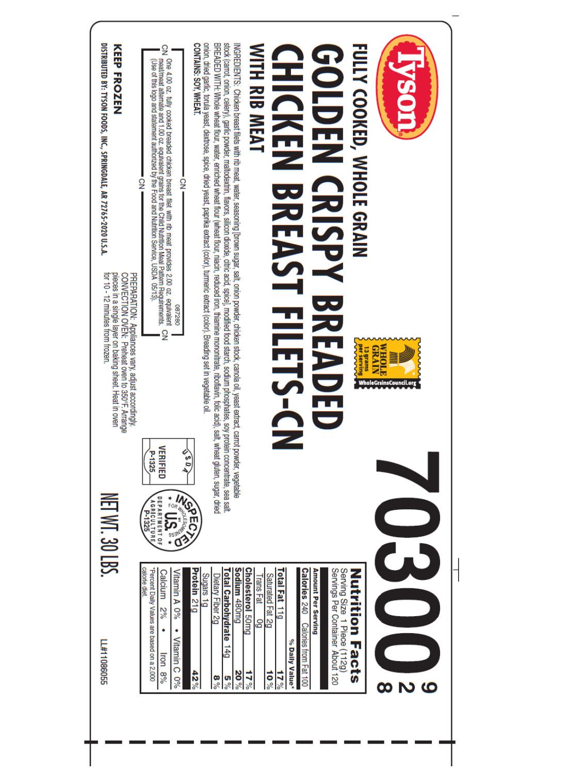| DISTRIBUTED BY: TYSON FOODS, INC., SPRINGDALE, AR 72765-2020 U.S.A.<br>KEEP FROZEN<br>for 10 - 12 minutes from frozen.<br>pieces in a single layer on baking sheet. Heat in oven<br>PREPARATION: Appliances vary, adjust accordingly.<br>CONVECTION OVER: Preheat over to 350°F. Arrange | $\frac{1}{2}$<br>One 4.00 oz. fully cooked breaded chicken breast filet with rib meat provides 2.00 oz. equivalent<br>meat/meat alternate and 1.00 oz. equivalent grains for the Child Nutrition Meal Pattern Requirements.<br>(Use of this logo and<br>$\frac{1}{2}$<br>$\frac{5}{2}$<br>082280<br>$\overline{2}$ | onion, dried garlic, torula yeast, dextrose, spice, dried yeast, paprika extract (color), turmeric extract (color). Breading set in<br>stock (carrot, onion, celery), garlic powder, maltodextrin, flavors, silicon dioxide, citric acid, spice], modified tood starch, sodium phosphates, soy protein concentrate, sea salt.<br>BREADED WITH: Whole wheat flour, water, enriched wheat flour, (wheat flour, niscin, reduced iron, thismine mononitate, riboflavin, folic acid), salt, wheat gluten, sugar, dried<br>INGREDIENTS: Chicken breast filets with rib meat, water, seasoning [brown sugar, salt, onion powder, chicken stock, canola oil, yeast extract, carrot powder, vegetable<br>CONTAINS: SOY, WHEAT.<br>vegetable oil. | <b>WITH RIB MEAT</b><br><b>CHICKEN BREAST FILET</b><br>$\sum$                                                                                                         | FULLY COOKED, WHOLE GRAIN<br><b>GOLDEN CRISPY</b><br>BREA<br>13 grams<br>per serving<br>Ş                             | <b>ASS</b><br>GRAIN<br><b>WHOLP</b><br><b>WholeGrainsCouncil.org</b> |  |
|------------------------------------------------------------------------------------------------------------------------------------------------------------------------------------------------------------------------------------------------------------------------------------------|--------------------------------------------------------------------------------------------------------------------------------------------------------------------------------------------------------------------------------------------------------------------------------------------------------------------|-----------------------------------------------------------------------------------------------------------------------------------------------------------------------------------------------------------------------------------------------------------------------------------------------------------------------------------------------------------------------------------------------------------------------------------------------------------------------------------------------------------------------------------------------------------------------------------------------------------------------------------------------------------------------------------------------------------------------------------------|-----------------------------------------------------------------------------------------------------------------------------------------------------------------------|-----------------------------------------------------------------------------------------------------------------------|----------------------------------------------------------------------|--|
| NET WT. 30 LBS.<br>LL#110860555                                                                                                                                                                                                                                                          | VERIFIED<br>P-1325<br><b>ECRECX</b><br><b>DEPARTMENT OF</b><br>AGRICULTURE<br>calorie diet<br>"Percent Daily Values are based on a 2,000<br>Calcium 2%<br>Vitamin A 0%<br>٠<br>Vitamin C 0%<br>Iron 8%                                                                                                             | 503<br>Protein 21g<br>Sodium 480mg<br><b>Total Carbohydrate</b><br>Sugars<br>Dietary Fiber 2g<br>$\overline{6}$<br>$6+1$<br>$42\%$<br>$20\%$<br><u>្លូ</u><br>œ<br>್ಲೆ                                                                                                                                                                                                                                                                                                                                                                                                                                                                                                                                                                  | <b>Cholesterol 50mg</b><br>Total Fat 11g<br>Calories 240<br>Saturated Fat 2g<br>Trans Fat<br>δO<br>Calories from Fat 100<br>% Daily Value*<br>17%<br>$10\%$<br>$17\%$ | Amount Per Serving<br>Servings Per Container About 120<br>Serving Size<br>Nutrition<br>1 Piece (112g)<br><b>Facts</b> | 6<br>ထ<br>N                                                          |  |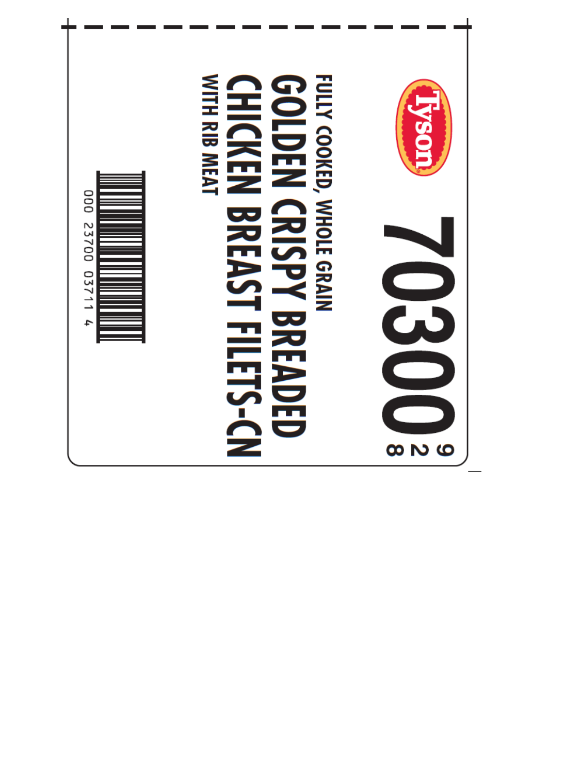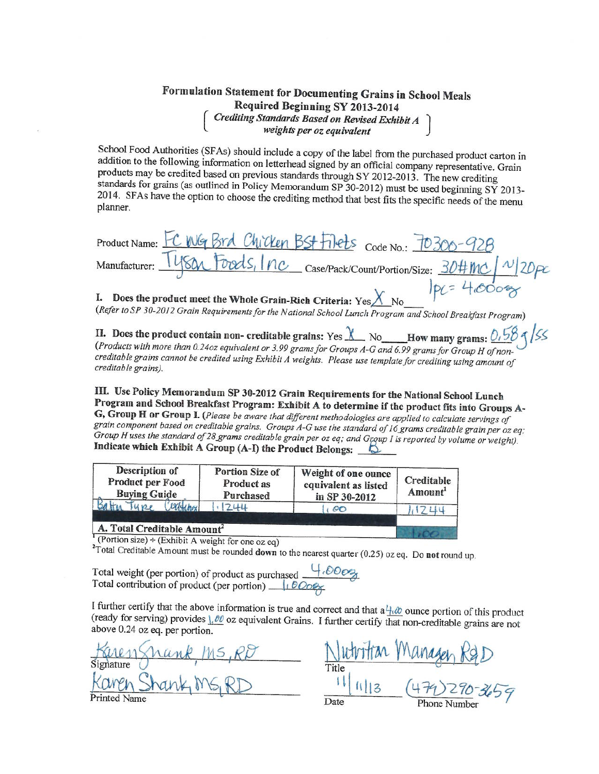

## Formulation Statement for Documenting Grains in School Meals Required Beginning SY 2013-2014 Crediting Standards Based on Revised Exhibit A<br>weights per oz equivalent

School Food Authorities (SFAs) should include a copy of the label from the purchased product carton in addition to the following information on letterhead signed by an official company representative. Grain products may be credited based on previous standards through SY 2012-2013. The new crediting standards for grains (as outlined in Policy Memorandum SP 30-2012) must be used beginning SY 2013-2014. SFAs have the option to choose the crediting method that best fits the specific needs of the menu planner.

| Product Name: FC WG Brd Chicken BSt Filets Code No.: 70300-928              |             |
|-----------------------------------------------------------------------------|-------------|
| Manufacturer: Tysan Foods, Inc case/Pack/Count/Portion/Size: 30#MC / N/20pc |             |
|                                                                             | $pc = 4000$ |

I. Does the product meet the Whole Grain-Rich Criteria:  $Yes \cancel{\bigtimes} No$ 

(Refer to SP 30-2012 Grain Requirements for the National School Lunch Program and School Breakfast Program)

II. Does the product contain non- creditable grains: Yes  $\chi$  No How many grams: 0.58  $\frac{0.58}{56}$ (Products with more than 0.24oz equivalent or 3.99 grams for Groups A-G and 6.99 grams for Group H of noncreditable grains cannot be credited using Exhibit A weights. Please use template for crediting using amount of creditable grains).

III. Use Policy Memorandum SP 30-2012 Grain Requirements for the National School Lunch Program and School Breakfast Program: Exhibit A to determine if the product fits into Groups A-G, Group H or Group I. (Please be aware that different methodologies are applied to calculate servings of grain component based on creditable grains. Groups A-G use the standard of 16 grams creditable grain per oz eq; Group H uses the standard of 28 grams creditable grain per oz eq; and Group I is reported by volume or weight). Indicate which Exhibit A Group (A-I) the Product Belongs:  $\Box$ 

| Creditable<br>Amount | Weight of one ounce<br>equivalent as listed<br>in SP 30-2012 | Portion Size of<br>Product as<br>Purchased | Description of<br>Product per Food<br><b>Buying Guide</b> |
|----------------------|--------------------------------------------------------------|--------------------------------------------|-----------------------------------------------------------|
|                      | $\circ \circ$                                                | 244                                        | willing<br>Type                                           |
|                      |                                                              |                                            | A. Total Creditable Amount <sup>2</sup>                   |

Portion size) ÷ (Exhibit A weight for one oz eq)

<sup>2</sup>Total Creditable Amount must be rounded down to the nearest quarter (0.25) oz eq. Do not round up.

Total weight (per portion) of product as purchased  $\frac{4.60003}{10000}$ <br>Total contribution of product (per portion)  $\frac{1.60003}{10000}$ 

I further certify that the above information is true and correct and that  $a \frac{1}{2}$  ounce portion of this product (ready for serving) provides  $\frac{1}{2}$   $\theta$  oz equivalent Grains. I further certify that non-creditable grains are not above 0.24 oz eq. per portion.

Date